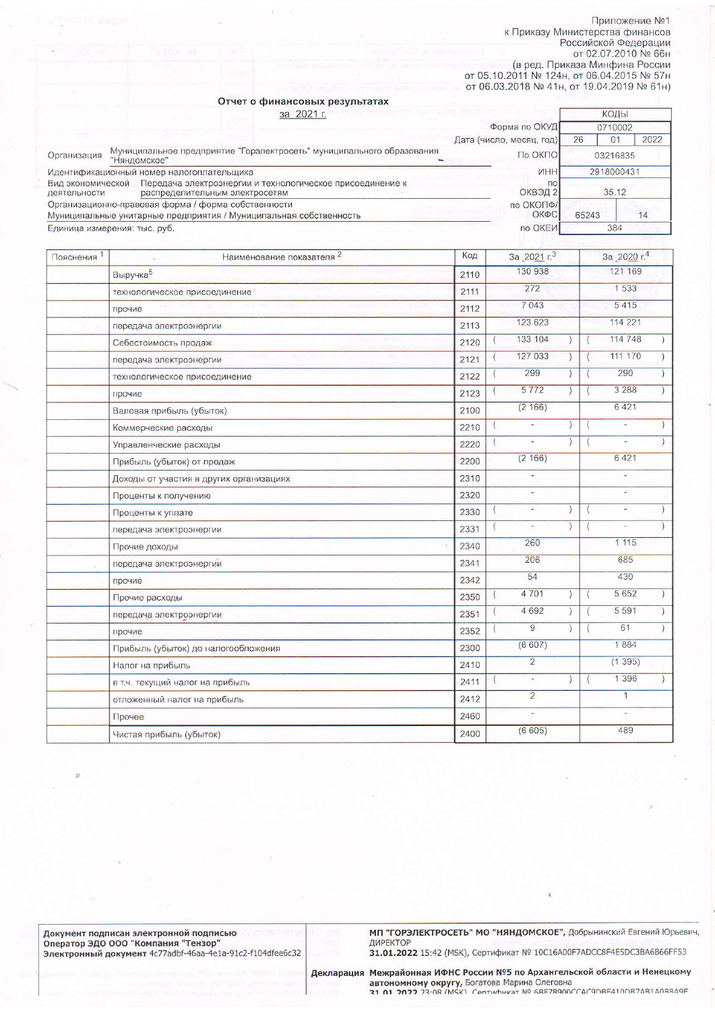Приложение №1 к Приказу Министерства финансов<br>Российской Федерации<br>от 02.07.2010 № 66н от оz.or.zor.or не бон<br>в ред. Приказа Минфина России<br>от 05.10.2011 № 124н, от 06.04.2015 № 57н<br>от 06.03.2018 № 41н, от 19.04.2019 № 61н)

коды

## Отчет о финансовых результатах за 2021 г.

|                                                                                                                                  |                                                                                       | Форма по ОКУД              | 0710002    |            |  |
|----------------------------------------------------------------------------------------------------------------------------------|---------------------------------------------------------------------------------------|----------------------------|------------|------------|--|
|                                                                                                                                  |                                                                                       | Дата (число, месяц, год)   | 26         | 2022<br>01 |  |
| Организация                                                                                                                      | Муниципальное предприятие "Горэлектросеть" муниципального образования<br>"Няндомское" | По ОКПО                    |            | 03216835   |  |
|                                                                                                                                  | Идентификационный номер налогоплательщика                                             | <b>VHH</b>                 | 2918000431 |            |  |
| Вид экономической<br>Передача электроэнергии и технологическое присоединение к<br>распределительным электросетям<br>деятельности |                                                                                       | $\overline{10}$<br>ОКВЭД 2 | 35.12      |            |  |
|                                                                                                                                  | Организационно-правовая форма / форма собственности                                   | по ОКОПФ/                  |            |            |  |
|                                                                                                                                  | Муниципальные унитарные предприятия / Муниципальная собственность                     | ОКФС                       | 65243      | 14         |  |
| Единица измерения: тыс. руб.                                                                                                     |                                                                                       | по ОКЕИ                    | 384        |            |  |

| Пояснения <sup>1</sup> | Наименование показателя 2               | Код  |          | За 2021 г. <sup>3</sup>  |           | За 2020 г.4              |  |
|------------------------|-----------------------------------------|------|----------|--------------------------|-----------|--------------------------|--|
|                        | Выручка <sup>5</sup>                    | 2110 |          | 130 938                  |           | 121 169                  |  |
|                        | технологическое присоединение           | 2111 |          | 272                      |           | 1 5 3 3                  |  |
|                        | прочие                                  | 2112 |          | 7043                     |           | 5415                     |  |
|                        | передача электроэнергии                 | 2113 |          | 123 623                  |           | 114 221                  |  |
|                        | Себестоимость продаж                    | 2120 |          | 133 104                  |           | 114 748                  |  |
|                        | передача электроэнергии                 | 2121 |          | 127 033                  |           | 111 170                  |  |
|                        | технологическое присоединение           | 2122 |          | 299                      |           | 290                      |  |
|                        | прочие                                  | 2123 |          | 5772                     |           | 3 2 8 8                  |  |
|                        | Валовая прибыль (убыток)                | 2100 |          | (2166)                   |           | 6421                     |  |
|                        | Коммерческие расходы                    | 2210 |          |                          |           |                          |  |
|                        | Управленческие расходы                  | 2220 | $\left($ |                          |           |                          |  |
|                        | Прибыль (убыток) от продаж              | 2200 |          | (2166)                   |           | 6 4 21                   |  |
|                        | Доходы от участия в других организациях | 2310 |          |                          |           |                          |  |
|                        | Проценты к получению                    | 2320 |          |                          |           |                          |  |
|                        | Проценты к уплате                       | 2330 |          | $\overline{\phantom{a}}$ | $\lambda$ | $\overline{\phantom{a}}$ |  |
|                        | передача электроэнергии                 | 2331 |          | $\overline{\phantom{a}}$ |           | ÷                        |  |
|                        | Прочие доходы                           | 2340 |          | 260                      |           | 1115                     |  |
|                        | передача электроэнергии                 | 2341 |          | 206                      |           | 685                      |  |
|                        | прочие                                  | 2342 |          | 54                       |           | 430                      |  |
|                        | Прочие расходы                          | 2350 | $\left($ | 4701                     |           | 5 6 5 2                  |  |
|                        | передача электроэнергии                 | 2351 |          | 4 6 9 2                  |           | 5 5 9 1                  |  |
|                        | прочие                                  | 2352 |          | 9                        |           | 61                       |  |
|                        | Прибыль (убыток) до налогообложения     | 2300 |          | (6607)                   |           | 1884                     |  |
|                        | Налог на прибыль                        | 2410 |          | $\overline{2}$           |           | (1395)                   |  |
|                        | в т.ч. текущий налог на прибыль         | 2411 |          | $\overline{\phantom{a}}$ |           | 1 3 9 6                  |  |
|                        | отложенный налог на прибыль             | 2412 |          | $\overline{2}$           |           | $\mathbf{1}$             |  |
|                        | Прочее                                  | 2460 |          | ٠                        |           | ÷                        |  |
|                        | Чистая прибыль (убыток)                 | 2400 |          | (6605)                   |           | 489                      |  |

МП "ГОРЭЛЕКТРОСЕТЬ" МО "НЯНДОМСКОЕ", Добрынинский Евгений Юрьевич,<br>ДИРЕКТОР<br>31.01.2022 15:42 (MSK), Сертификат № 10С16А00F7ADCC8F4E5DC3BA6B66FF53

Декларация Межрайонная ИФНС России №5 по Архангельской области и Ненецкому<br>автономному округу, Богатова Марина Олеговна<br>это того этом (MSK) Севтификат № 6RE78900CC4C9DRE410DR74R140R849F